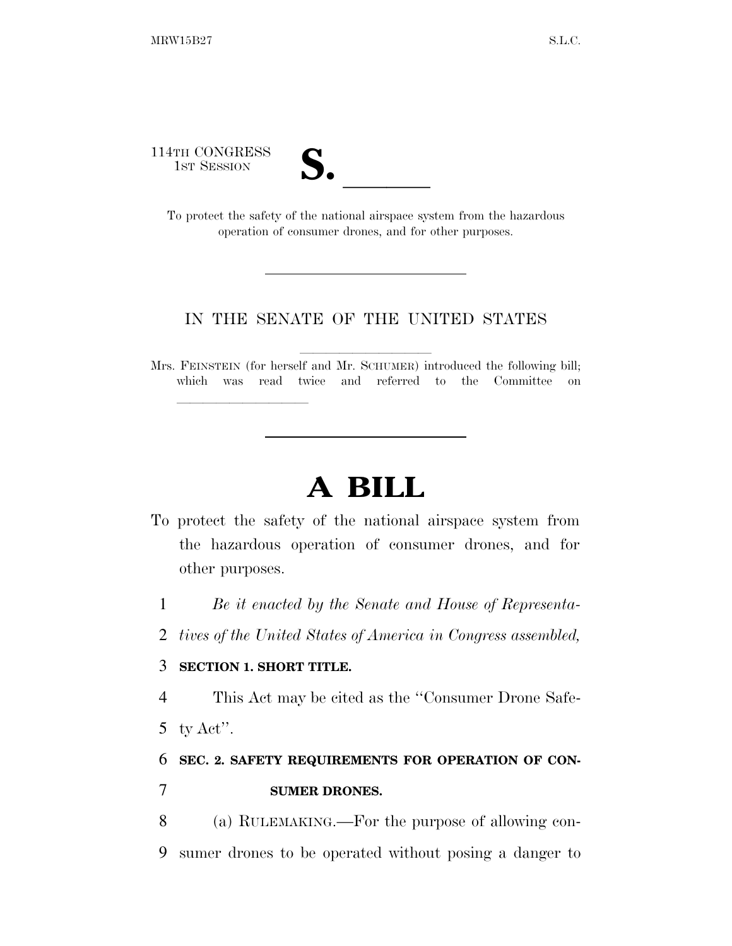114TH CONGRESS

TH CONGRESS<br>
1ST SESSION<br>
To protect the safety of the national airspace system from the hazardous operation of consumer drones, and for other purposes.

### IN THE SENATE OF THE UNITED STATES

Mrs. FEINSTEIN (for herself and Mr. SCHUMER) introduced the following bill; which was read twice and referred to the Committee on

# **A BILL**

- To protect the safety of the national airspace system from the hazardous operation of consumer drones, and for other purposes.
	- 1 *Be it enacted by the Senate and House of Representa-*
	- 2 *tives of the United States of America in Congress assembled,*

### 3 **SECTION 1. SHORT TITLE.**

lle and a second control of the second control of the second control of the second control of the second control of the second control of the second control of the second control of the second control of the second control

4 This Act may be cited as the ''Consumer Drone Safe-

5 ty  $\text{Act}$ ".

### 6 **SEC. 2. SAFETY REQUIREMENTS FOR OPERATION OF CON-**7 **SUMER DRONES.**

8 (a) RULEMAKING.—For the purpose of allowing con-9 sumer drones to be operated without posing a danger to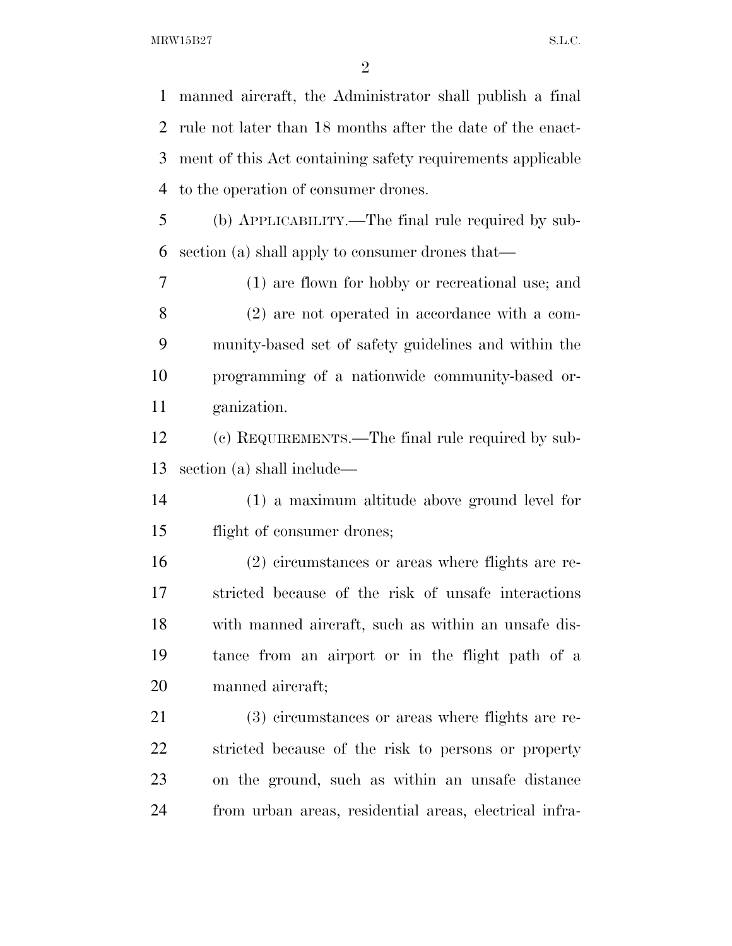manned aircraft, the Administrator shall publish a final rule not later than 18 months after the date of the enact- ment of this Act containing safety requirements applicable to the operation of consumer drones.

 (b) APPLICABILITY.—The final rule required by sub-section (a) shall apply to consumer drones that—

 (1) are flown for hobby or recreational use; and (2) are not operated in accordance with a com- munity-based set of safety guidelines and within the programming of a nationwide community-based or-ganization.

 (c) REQUIREMENTS.—The final rule required by sub-section (a) shall include—

 (1) a maximum altitude above ground level for flight of consumer drones;

 (2) circumstances or areas where flights are re- stricted because of the risk of unsafe interactions with manned aircraft, such as within an unsafe dis- tance from an airport or in the flight path of a manned aircraft;

 (3) circumstances or areas where flights are re- stricted because of the risk to persons or property on the ground, such as within an unsafe distance from urban areas, residential areas, electrical infra-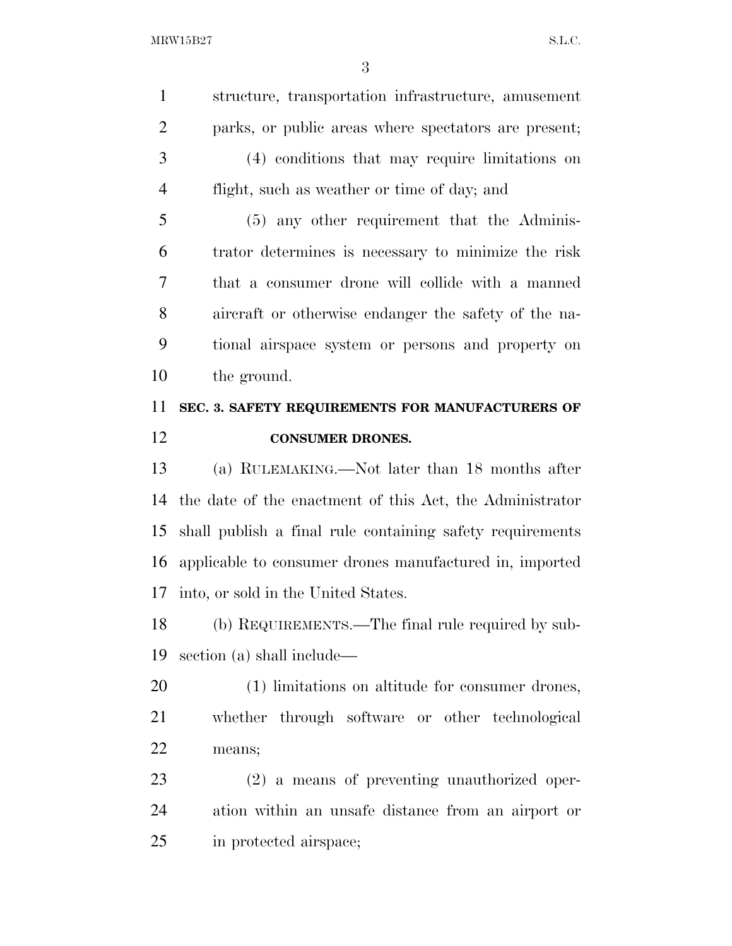structure, transportation infrastructure, amusement parks, or public areas where spectators are present; (4) conditions that may require limitations on flight, such as weather or time of day; and (5) any other requirement that the Adminis- trator determines is necessary to minimize the risk that a consumer drone will collide with a manned

 aircraft or otherwise endanger the safety of the na- tional airspace system or persons and property on the ground.

## **SEC. 3. SAFETY REQUIREMENTS FOR MANUFACTURERS OF CONSUMER DRONES.**

 (a) RULEMAKING.—Not later than 18 months after the date of the enactment of this Act, the Administrator shall publish a final rule containing safety requirements applicable to consumer drones manufactured in, imported into, or sold in the United States.

 (b) REQUIREMENTS.—The final rule required by sub-section (a) shall include—

 (1) limitations on altitude for consumer drones, whether through software or other technological means;

 (2) a means of preventing unauthorized oper- ation within an unsafe distance from an airport or in protected airspace;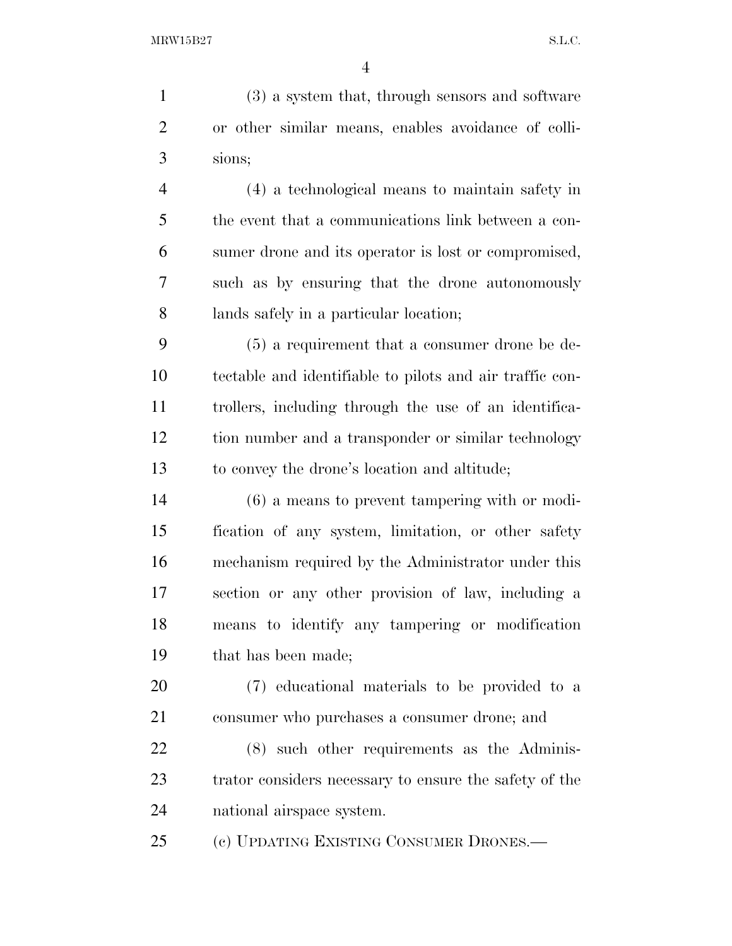(3) a system that, through sensors and software or other similar means, enables avoidance of colli- sions; (4) a technological means to maintain safety in the event that a communications link between a con- sumer drone and its operator is lost or compromised, such as by ensuring that the drone autonomously lands safely in a particular location; (5) a requirement that a consumer drone be de- tectable and identifiable to pilots and air traffic con- trollers, including through the use of an identifica- tion number and a transponder or similar technology to convey the drone's location and altitude; (6) a means to prevent tampering with or modi- fication of any system, limitation, or other safety mechanism required by the Administrator under this section or any other provision of law, including a means to identify any tampering or modification that has been made; (7) educational materials to be provided to a consumer who purchases a consumer drone; and

 (8) such other requirements as the Adminis- trator considers necessary to ensure the safety of the national airspace system.

(c) UPDATING EXISTING CONSUMER DRONES.—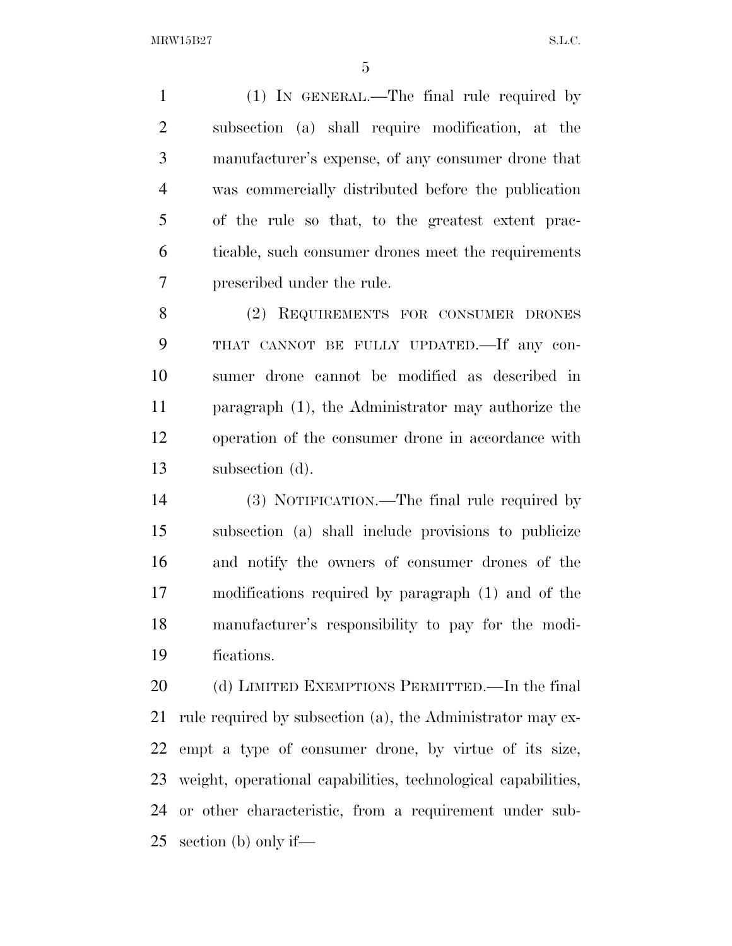(1) IN GENERAL.—The final rule required by subsection (a) shall require modification, at the manufacturer's expense, of any consumer drone that was commercially distributed before the publication of the rule so that, to the greatest extent prac- ticable, such consumer drones meet the requirements prescribed under the rule.

 (2) REQUIREMENTS FOR CONSUMER DRONES THAT CANNOT BE FULLY UPDATED.—If any con- sumer drone cannot be modified as described in paragraph (1), the Administrator may authorize the operation of the consumer drone in accordance with subsection (d).

 (3) NOTIFICATION.—The final rule required by subsection (a) shall include provisions to publicize and notify the owners of consumer drones of the modifications required by paragraph (1) and of the manufacturer's responsibility to pay for the modi-fications.

 (d) LIMITED EXEMPTIONS PERMITTED.—In the final rule required by subsection (a), the Administrator may ex- empt a type of consumer drone, by virtue of its size, weight, operational capabilities, technological capabilities, or other characteristic, from a requirement under sub-section (b) only if—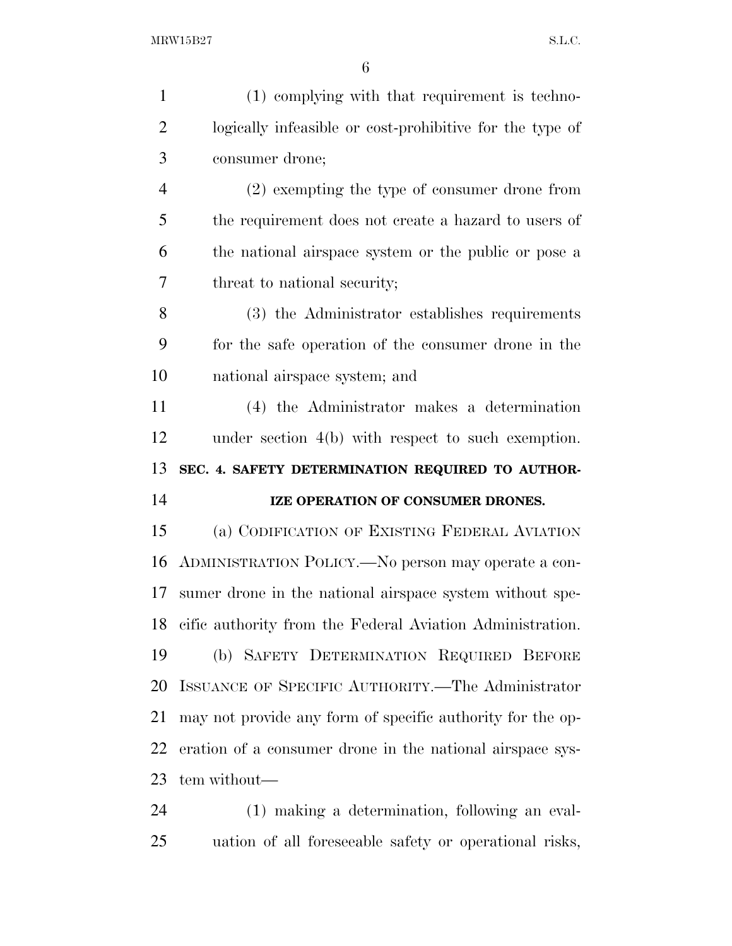| $\mathbf{1}$   | (1) complying with that requirement is techno-               |
|----------------|--------------------------------------------------------------|
| $\overline{2}$ | logically infeasible or cost-prohibitive for the type of     |
| 3              | consumer drone;                                              |
| $\overline{4}$ | $(2)$ exempting the type of consumer drone from              |
| 5              | the requirement does not create a hazard to users of         |
| 6              | the national airspace system or the public or pose a         |
| $\overline{7}$ | threat to national security;                                 |
| 8              | (3) the Administrator establishes requirements               |
| 9              | for the safe operation of the consumer drone in the          |
| 10             | national airspace system; and                                |
| 11             | (4) the Administrator makes a determination                  |
| 12             | under section $4(b)$ with respect to such exemption.         |
|                |                                                              |
| 13             | SEC. 4. SAFETY DETERMINATION REQUIRED TO AUTHOR-             |
| 14             | IZE OPERATION OF CONSUMER DRONES.                            |
| 15             | (a) CODIFICATION OF EXISTING FEDERAL AVIATION                |
| 16             | ADMINISTRATION POLICY.—No person may operate a con-          |
| 17             | sumer drone in the national airspace system without spe-     |
|                | 18 cific authority from the Federal Aviation Administration. |
| 19             | (b) SAFETY DETERMINATION REQUIRED BEFORE                     |
| 20             | ISSUANCE OF SPECIFIC AUTHORITY.—The Administrator            |
| 21             | may not provide any form of specific authority for the op-   |
| 22             | eration of a consumer drone in the national airspace sys-    |
| 23             | tem without—                                                 |

uation of all foreseeable safety or operational risks,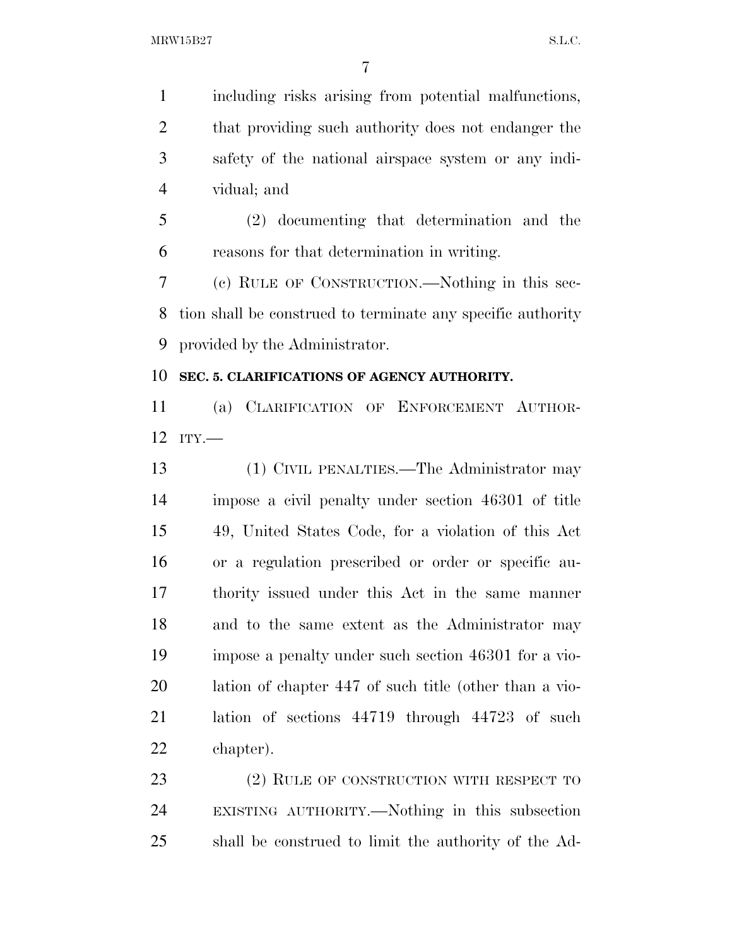including risks arising from potential malfunctions, that providing such authority does not endanger the safety of the national airspace system or any indi- vidual; and (2) documenting that determination and the

reasons for that determination in writing.

 (c) RULE OF CONSTRUCTION.—Nothing in this sec- tion shall be construed to terminate any specific authority provided by the Administrator.

### **SEC. 5. CLARIFICATIONS OF AGENCY AUTHORITY.**

 (a) CLARIFICATION OF ENFORCEMENT AUTHOR-ITY.—

 (1) CIVIL PENALTIES.—The Administrator may impose a civil penalty under section 46301 of title 49, United States Code, for a violation of this Act or a regulation prescribed or order or specific au- thority issued under this Act in the same manner and to the same extent as the Administrator may impose a penalty under such section 46301 for a vio- lation of chapter 447 of such title (other than a vio- lation of sections 44719 through 44723 of such chapter).

23 (2) RULE OF CONSTRUCTION WITH RESPECT TO EXISTING AUTHORITY.—Nothing in this subsection shall be construed to limit the authority of the Ad-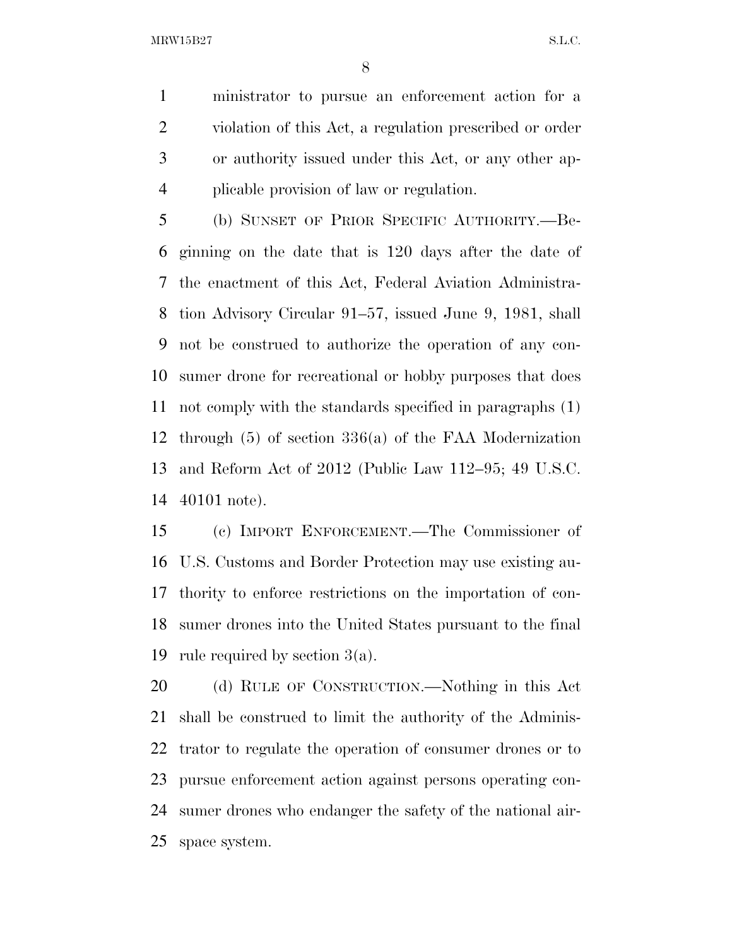ministrator to pursue an enforcement action for a violation of this Act, a regulation prescribed or order or authority issued under this Act, or any other ap-plicable provision of law or regulation.

 (b) SUNSET OF PRIOR SPECIFIC AUTHORITY.—Be- ginning on the date that is 120 days after the date of the enactment of this Act, Federal Aviation Administra- tion Advisory Circular 91–57, issued June 9, 1981, shall not be construed to authorize the operation of any con- sumer drone for recreational or hobby purposes that does not comply with the standards specified in paragraphs (1) through (5) of section 336(a) of the FAA Modernization and Reform Act of 2012 (Public Law 112–95; 49 U.S.C. 40101 note).

 (c) IMPORT ENFORCEMENT.—The Commissioner of U.S. Customs and Border Protection may use existing au- thority to enforce restrictions on the importation of con- sumer drones into the United States pursuant to the final rule required by section 3(a).

 (d) RULE OF CONSTRUCTION.—Nothing in this Act shall be construed to limit the authority of the Adminis- trator to regulate the operation of consumer drones or to pursue enforcement action against persons operating con- sumer drones who endanger the safety of the national air-space system.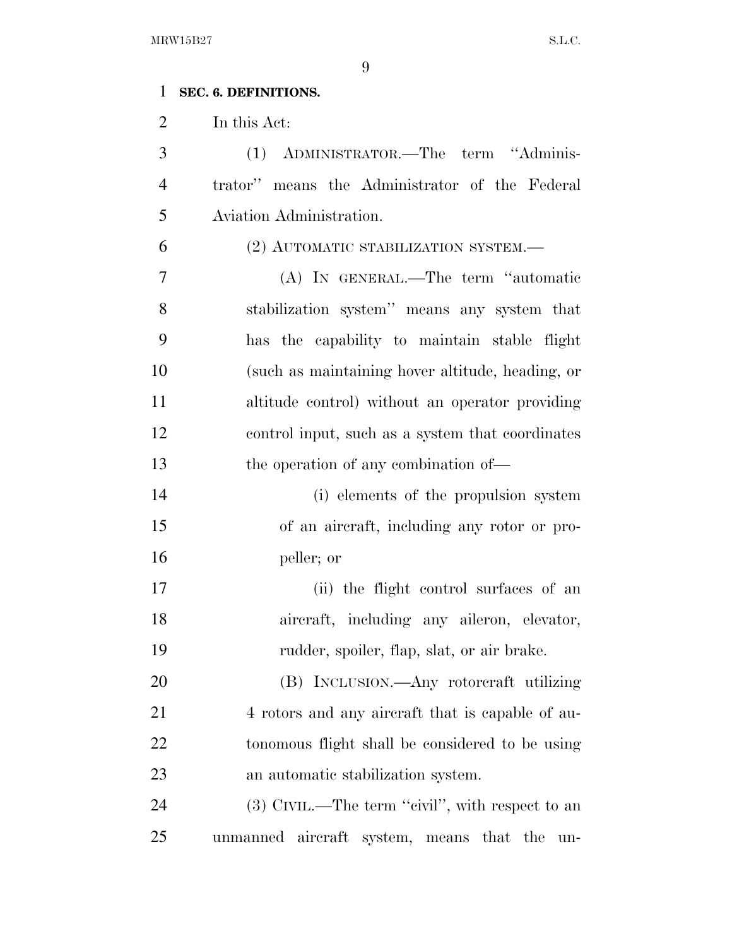### **SEC. 6. DEFINITIONS.**

In this Act:

 (1) ADMINISTRATOR.—The term ''Adminis- trator'' means the Administrator of the Federal Aviation Administration.

(2) AUTOMATIC STABILIZATION SYSTEM.—

 (A) IN GENERAL.—The term ''automatic stabilization system'' means any system that has the capability to maintain stable flight (such as maintaining hover altitude, heading, or altitude control) without an operator providing control input, such as a system that coordinates 13 the operation of any combination of—

 (i) elements of the propulsion system of an aircraft, including any rotor or pro-peller; or

 (ii) the flight control surfaces of an aircraft, including any aileron, elevator, rudder, spoiler, flap, slat, or air brake.

 (B) INCLUSION.—Any rotorcraft utilizing 21 4 rotors and any aircraft that is capable of au- tonomous flight shall be considered to be using an automatic stabilization system.

24 (3) CIVIL.—The term "civil", with respect to an unmanned aircraft system, means that the un-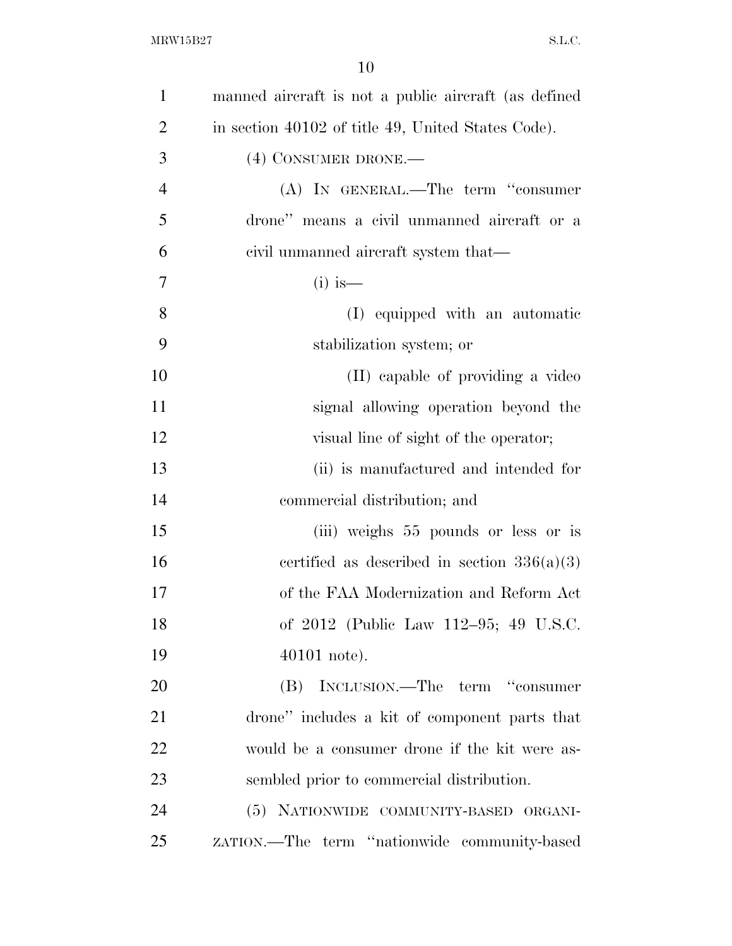| $\mathbf{1}$   | manned aircraft is not a public aircraft (as defined |
|----------------|------------------------------------------------------|
| $\overline{2}$ | in section 40102 of title 49, United States Code).   |
| 3              | (4) CONSUMER DRONE.-                                 |
| $\overline{4}$ | (A) IN GENERAL.—The term "consumer                   |
| 5              | drone" means a civil unmanned aircraft or a          |
| 6              | civil unmanned aircraft system that—                 |
| $\overline{7}$ | $(i)$ is —                                           |
| 8              | (I) equipped with an automatic                       |
| 9              | stabilization system; or                             |
| 10             | (II) capable of providing a video                    |
| 11             | signal allowing operation beyond the                 |
| 12             | visual line of sight of the operator;                |
| 13             | (ii) is manufactured and intended for                |
| 14             | commercial distribution; and                         |
| 15             | (iii) weighs 55 pounds or less or is                 |
| 16             | certified as described in section $336(a)(3)$        |
| 17             | of the FAA Modernization and Reform Act              |
| 18             | of 2012 (Public Law 112–95; 49 U.S.C.                |
| 19             | 40101 note).                                         |
| 20             | (B) INCLUSION.—The term "consumer                    |
| 21             | drone" includes a kit of component parts that        |
| 22             | would be a consumer drone if the kit were as-        |
| 23             | sembled prior to commercial distribution.            |
| 24             | (5) NATIONWIDE COMMUNITY-BASED ORGANI-               |
| 25             | ZATION.—The term "nationwide community-based         |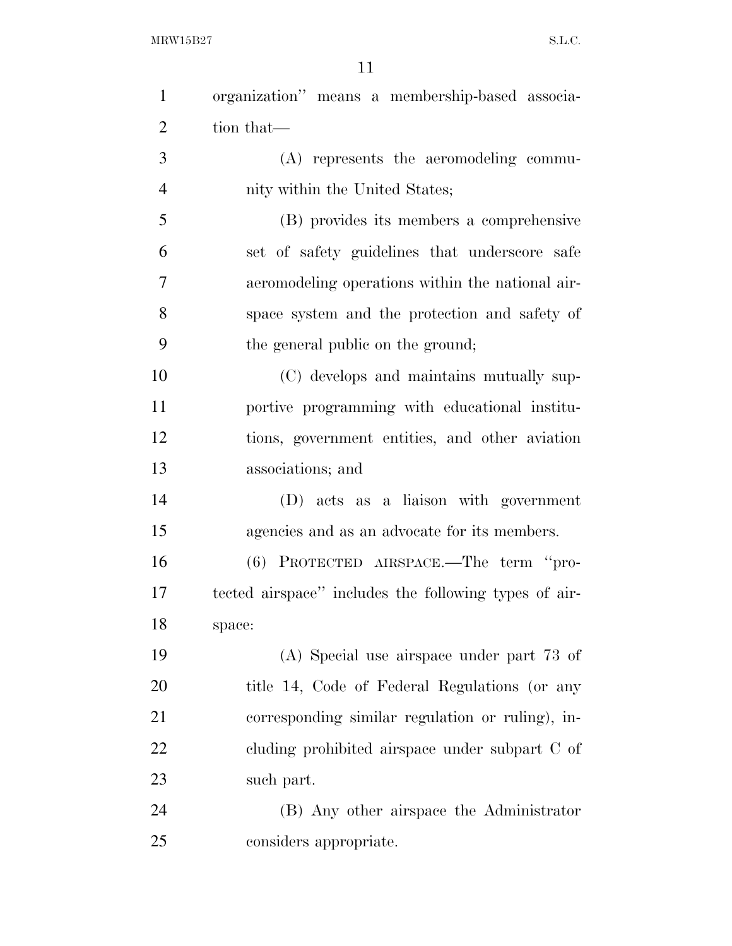| $\mathbf{1}$   | organization" means a membership-based associa-       |
|----------------|-------------------------------------------------------|
| $\overline{2}$ | tion that—                                            |
| 3              | (A) represents the aeromodeling commu-                |
| $\overline{4}$ | nity within the United States;                        |
| 5              | (B) provides its members a comprehensive              |
| 6              | set of safety guidelines that underscore safe         |
| 7              | aeromodeling operations within the national air-      |
| 8              | space system and the protection and safety of         |
| 9              | the general public on the ground;                     |
| 10             | (C) develops and maintains mutually sup-              |
| 11             | portive programming with educational institu-         |
| 12             | tions, government entities, and other aviation        |
| 13             | associations; and                                     |
| 14             | (D) acts as a liaison with government                 |
| 15             | agencies and as an advocate for its members.          |
| 16             | $(6)$ PROTECTED AIRSPACE.—The term "pro-              |
| 17             | tected airspace" includes the following types of air- |
| 18             | space:                                                |
| 19             | (A) Special use airspace under part 73 of             |
| 20             | title 14, Code of Federal Regulations (or any         |
| 21             | corresponding similar regulation or ruling), in-      |
| 22             | cluding prohibited airspace under subpart C of        |
| 23             | such part.                                            |
| 24             | (B) Any other airspace the Administrator              |
| 25             | considers appropriate.                                |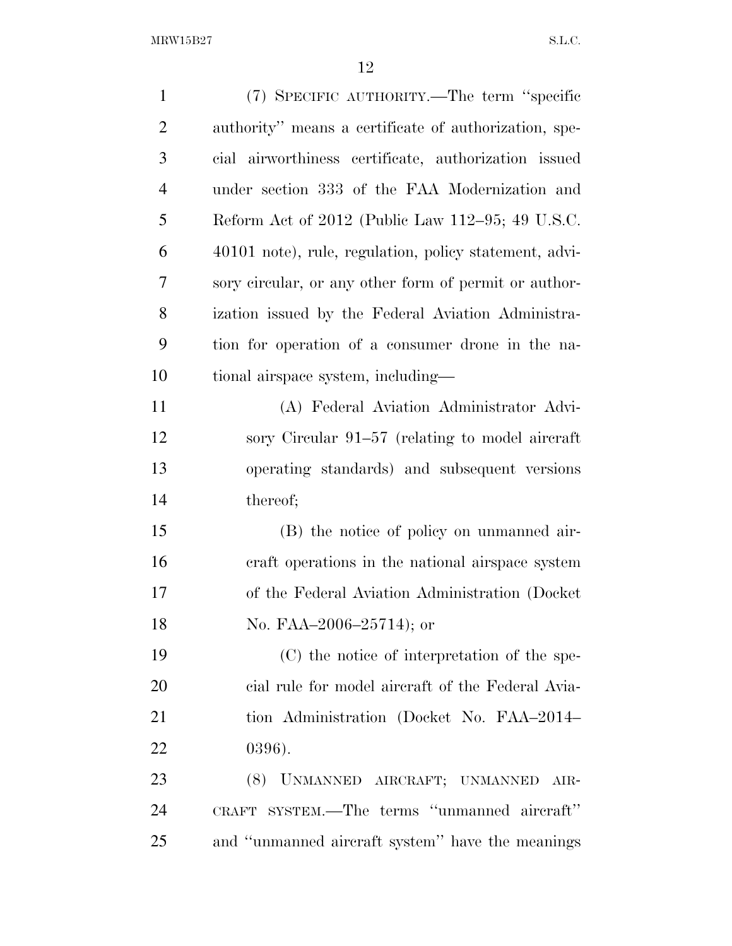$\begin{minipage}{0.9\linewidth} \textbf{MRW15B27} \end{minipage}$ 

| $\mathbf{1}$   | (7) SPECIFIC AUTHORITY.—The term "specific             |
|----------------|--------------------------------------------------------|
| $\overline{2}$ | authority" means a certificate of authorization, spe-  |
| 3              | cial airworthiness certificate, authorization issued   |
| $\overline{4}$ | under section 333 of the FAA Modernization and         |
| 5              | Reform Act of 2012 (Public Law 112–95; 49 U.S.C.       |
| 6              | 40101 note), rule, regulation, policy statement, advi- |
| 7              | sory circular, or any other form of permit or author-  |
| 8              | ization issued by the Federal Aviation Administra-     |
| 9              | tion for operation of a consumer drone in the na-      |
| 10             | tional airspace system, including—                     |
| 11             | (A) Federal Aviation Administrator Advi-               |
| 12             | sory Circular 91–57 (relating to model aircraft        |
| 13             | operating standards) and subsequent versions           |
| 14             | thereof;                                               |
| 15             | (B) the notice of policy on unmanned air-              |
| 16             | craft operations in the national airspace system       |
| 17             | of the Federal Aviation Administration (Docket)        |
| 18             | No. FAA $-2006-25714$ ; or                             |
| 19             | (C) the notice of interpretation of the spe-           |
| 20             | cial rule for model aircraft of the Federal Avia-      |
| 21             | tion Administration (Docket No. FAA-2014-              |
| 22             | $0396$ ).                                              |
| 23             | (8) UNMANNED AIRCRAFT; UNMANNED AIR-                   |
| 24             | CRAFT SYSTEM.—The terms "unmanned aircraft"            |
| 25             | and "unmanned aircraft system" have the meanings       |